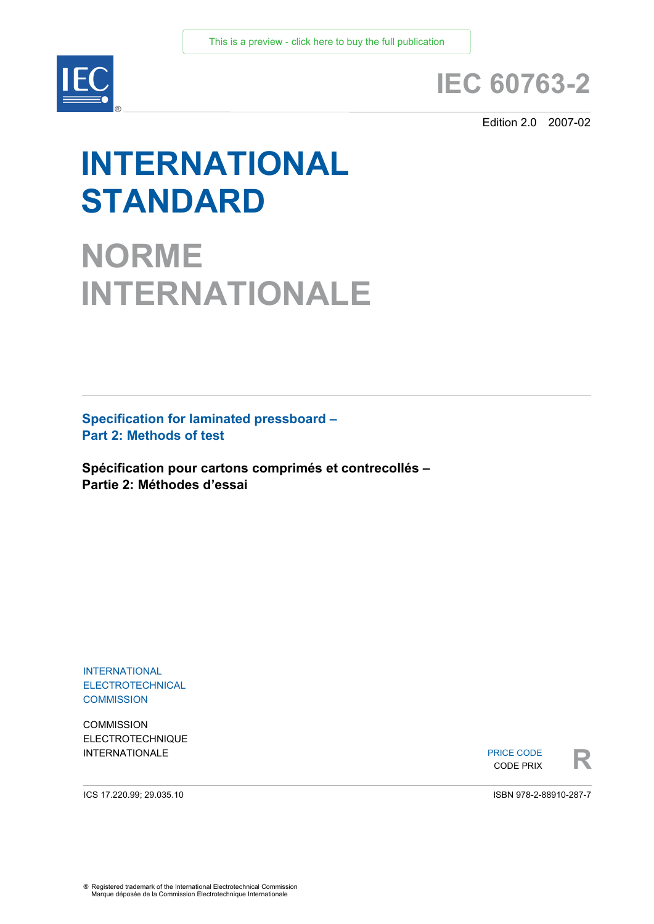

## **IEC 60763-2**

Edition 2.0 2007-02

# **INTERNATIONAL STANDARD**

**NORME INTERNATIONALE**

**Specification for laminated pressboard – Part 2: Methods of test** 

**Spécification pour cartons comprimés et contrecollés – Partie 2: Méthodes d'essai** 

INTERNATIONAL ELECTROTECHNICAL **COMMISSION** 

**COMMISSION** ELECTROTECHNIQUE

INTERNATIONALE PRICE CODE PRICE CODE PRICE CODE PRICE CODE PRICE CODE PRIX PRICE CODE CODE PRIX



ICS 17.220.99; 29.035.10

ISBN 978-2-88910-287-7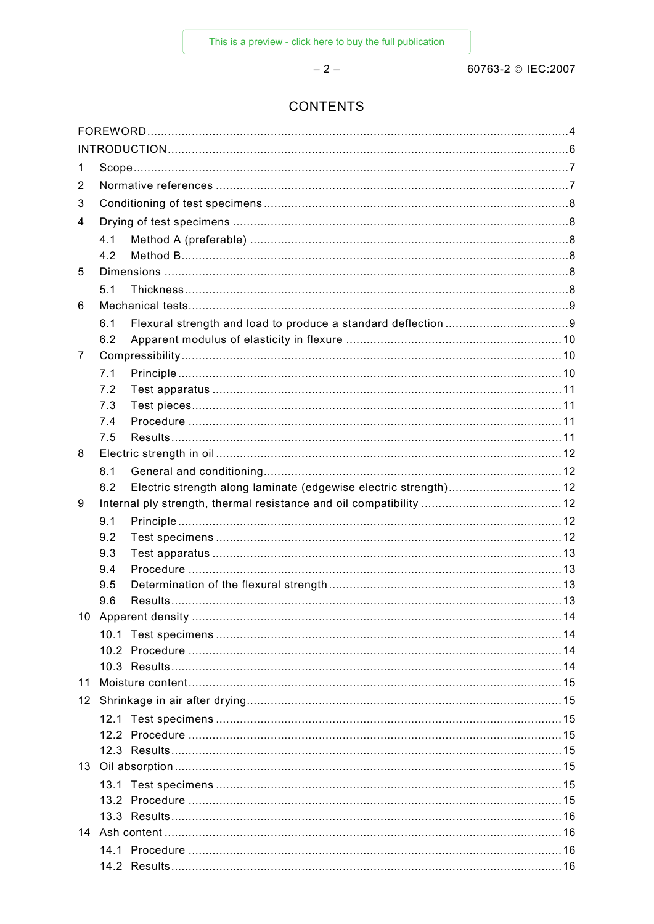$-2-$ 

### **CONTENTS**

| 1               |                                                                         |  |
|-----------------|-------------------------------------------------------------------------|--|
| 2               |                                                                         |  |
| 3               |                                                                         |  |
| 4               |                                                                         |  |
|                 | 4.1                                                                     |  |
|                 | 4.2                                                                     |  |
| 5               |                                                                         |  |
|                 | 5.1                                                                     |  |
| 6               |                                                                         |  |
|                 | 6.1                                                                     |  |
|                 | 6.2                                                                     |  |
| 7               |                                                                         |  |
|                 | 7.1                                                                     |  |
|                 | 7.2                                                                     |  |
|                 | 7.3                                                                     |  |
|                 | 7.4                                                                     |  |
|                 | 7.5                                                                     |  |
| 8               |                                                                         |  |
|                 | 8.1                                                                     |  |
|                 | Electric strength along laminate (edgewise electric strength) 12<br>8.2 |  |
| 9               |                                                                         |  |
|                 | 9.1                                                                     |  |
|                 | 9.2                                                                     |  |
|                 | 9.3                                                                     |  |
|                 | 9.4                                                                     |  |
|                 | 9.5                                                                     |  |
|                 | 9.6                                                                     |  |
| 10 <sub>1</sub> |                                                                         |  |
|                 |                                                                         |  |
|                 |                                                                         |  |
|                 |                                                                         |  |
| 11              |                                                                         |  |
|                 |                                                                         |  |
|                 |                                                                         |  |
|                 |                                                                         |  |
|                 |                                                                         |  |
| 13              |                                                                         |  |
|                 |                                                                         |  |
|                 |                                                                         |  |
|                 |                                                                         |  |
|                 |                                                                         |  |
|                 |                                                                         |  |
|                 |                                                                         |  |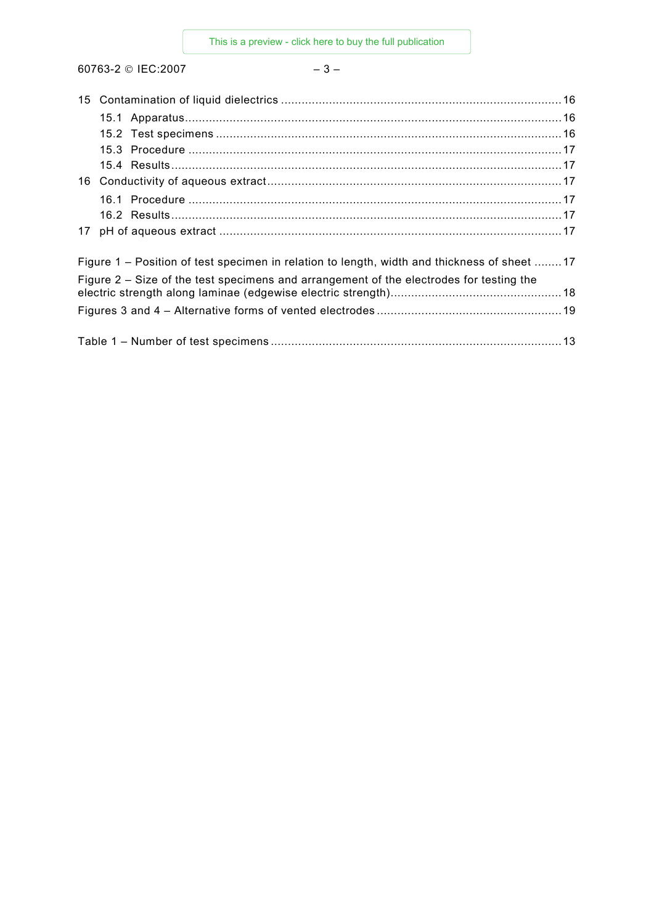|  | Figure 1 – Position of test specimen in relation to length, width and thickness of sheet 17 |  |
|--|---------------------------------------------------------------------------------------------|--|
|  | Figure 2 – Size of the test specimens and arrangement of the electrodes for testing the     |  |
|  |                                                                                             |  |
|  |                                                                                             |  |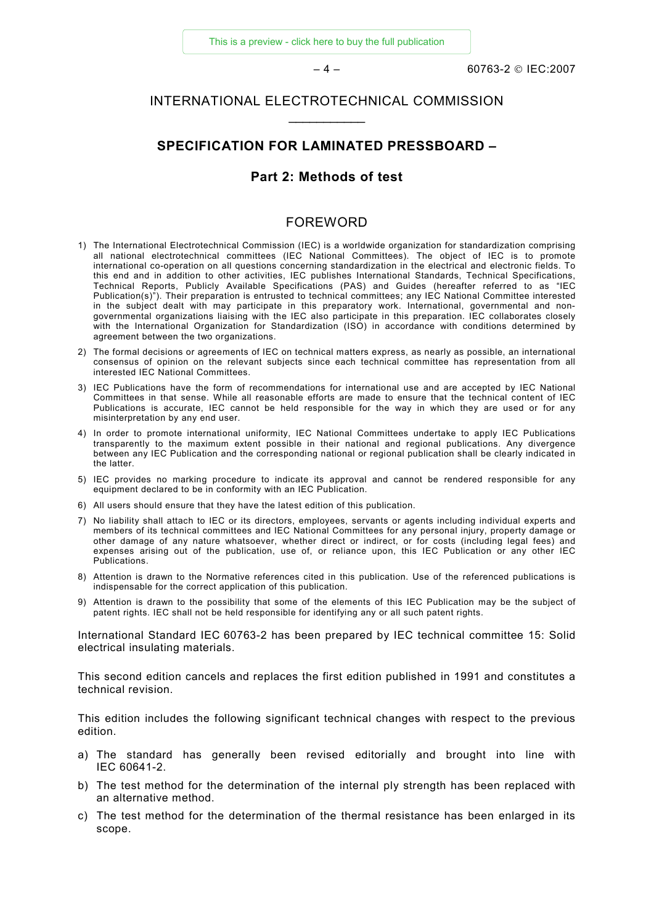#### <span id="page-3-0"></span>INTERNATIONAL ELECTROTECHNICAL COMMISSION  $\frac{1}{2}$  ,  $\frac{1}{2}$  ,  $\frac{1}{2}$  ,  $\frac{1}{2}$  ,  $\frac{1}{2}$

#### **SPECIFICATION FOR LAMINATED PRESSBOARD –**

#### **Part 2: Methods of test**

#### FOREWORD

- 1) The International Electrotechnical Commission (IEC) is a worldwide organization for standardization comprising all national electrotechnical committees (IEC National Committees). The object of IEC is to promote international co-operation on all questions concerning standardization in the electrical and electronic fields. To this end and in addition to other activities, IEC publishes International Standards, Technical Specifications, Technical Reports, Publicly Available Specifications (PAS) and Guides (hereafter referred to as "IEC Publication(s)"). Their preparation is entrusted to technical committees; any IEC National Committee interested in the subject dealt with may participate in this preparatory work. International, governmental and nongovernmental organizations liaising with the IEC also participate in this preparation. IEC collaborates closely with the International Organization for Standardization (ISO) in accordance with conditions determined by agreement between the two organizations.
- 2) The formal decisions or agreements of IEC on technical matters express, as nearly as possible, an international consensus of opinion on the relevant subjects since each technical committee has representation from all interested IEC National Committees.
- 3) IEC Publications have the form of recommendations for international use and are accepted by IEC National Committees in that sense. While all reasonable efforts are made to ensure that the technical content of IEC Publications is accurate, IEC cannot be held responsible for the way in which they are used or for any misinterpretation by any end user.
- 4) In order to promote international uniformity, IEC National Committees undertake to apply IEC Publications transparently to the maximum extent possible in their national and regional publications. Any divergence between any IEC Publication and the corresponding national or regional publication shall be clearly indicated in the latter.
- 5) IEC provides no marking procedure to indicate its approval and cannot be rendered responsible for any equipment declared to be in conformity with an IEC Publication.
- 6) All users should ensure that they have the latest edition of this publication.
- 7) No liability shall attach to IEC or its directors, employees, servants or agents including individual experts and members of its technical committees and IEC National Committees for any personal injury, property damage or other damage of any nature whatsoever, whether direct or indirect, or for costs (including legal fees) and expenses arising out of the publication, use of, or reliance upon, this IEC Publication or any other IEC Publications.
- 8) Attention is drawn to the Normative references cited in this publication. Use of the referenced publications is indispensable for the correct application of this publication.
- 9) Attention is drawn to the possibility that some of the elements of this IEC Publication may be the subject of patent rights. IEC shall not be held responsible for identifying any or all such patent rights.

International Standard IEC 60763-2 has been prepared by IEC technical committee 15: Solid electrical insulating materials.

This second edition cancels and replaces the first edition published in 1991 and constitutes a technical revision.

This edition includes the following significant technical changes with respect to the previous edition.

- a) The standard has generally been revised editorially and brought into line with IEC 60641-2.
- b) The test method for the determination of the internal ply strength has been replaced with an alternative method.
- c) The test method for the determination of the thermal resistance has been enlarged in its scope.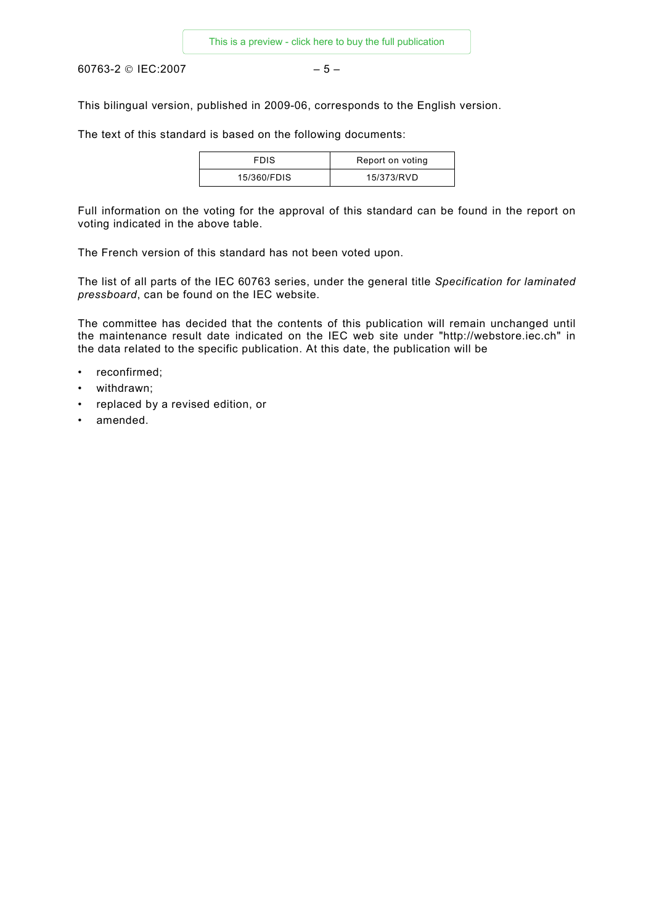60763-2 © IEC:2007 – 5 –

This bilingual version, published in 2009-06, corresponds to the English version.

The text of this standard is based on the following documents:

| FDIS        | Report on voting |
|-------------|------------------|
| 15/360/FDIS | 15/373/RVD       |

Full information on the voting for the approval of this standard can be found in the report on voting indicated in the above table.

The French version of this standard has not been voted upon.

The list of all parts of the IEC 60763 series, under the general title *Specification for laminated pressboard*, can be found on the IEC website.

The committee has decided that the contents of this publication will remain unchanged until the maintenance result date indicated on the IEC web site under "http://webstore.iec.ch" in the data related to the specific publication. At this date, the publication will be

- reconfirmed;
- withdrawn;
- replaced by a revised edition, or
- amended.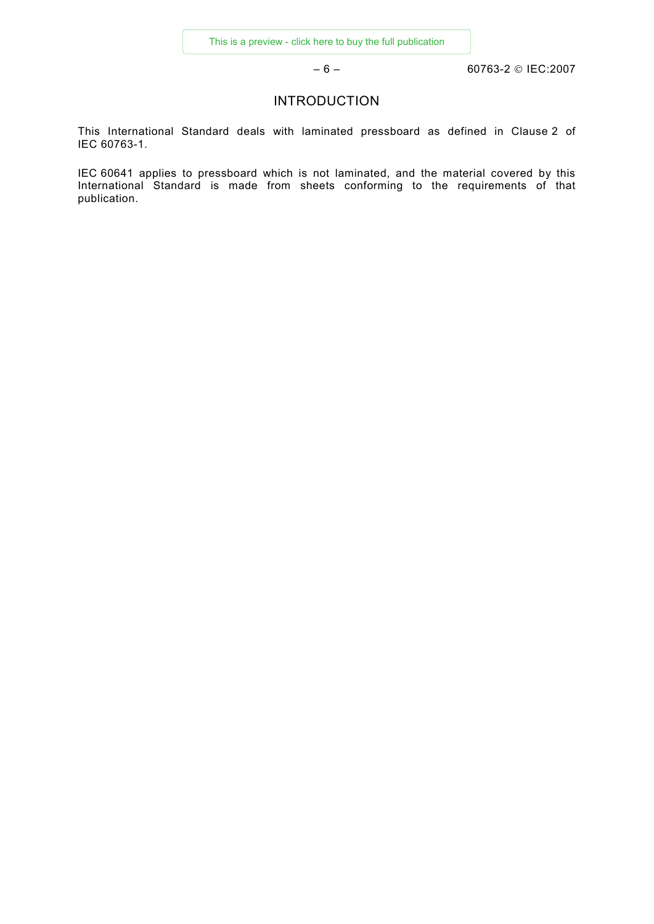– 6 – 60763-2 © IEC:2007

#### INTRODUCTION

<span id="page-5-0"></span>This International Standard deals with laminated pressboard as defined in Clause 2 of IEC 60763-1.

IEC 60641 applies to pressboard which is not laminated, and the material covered by this International Standard is made from sheets conforming to the requirements of that publication.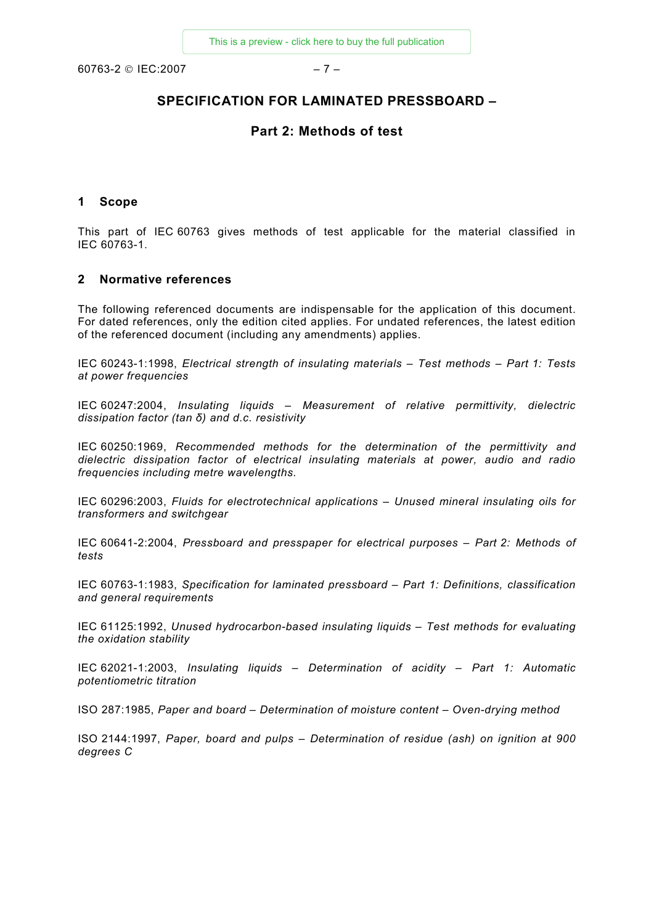<span id="page-6-0"></span> $60763 - 2 \circ \text{IEC:} 2007$  – 7 –

### **SPECIFICATION FOR LAMINATED PRESSBOARD –**

#### **Part 2: Methods of test**

#### **1 Scope**

This part of IEC 60763 gives methods of test applicable for the material classified in IEC 60763-1.

#### **2 Normative references**

The following referenced documents are indispensable for the application of this document. For dated references, only the edition cited applies. For undated references, the latest edition of the referenced document (including any amendments) applies.

IEC 60243-1:1998, *Electrical strength of insulating materials – Test methods – Part 1: Tests at power frequencies* 

IEC 60247:2004, *Insulating liquids – Measurement of relative permittivity, dielectric dissipation factor (tan δ) and d.c. resistivity* 

IEC 60250:1969, *Recommended methods for the determination of the permittivity and dielectric dissipation factor of electrical insulating materials at power, audio and radio frequencies including metre wavelengths.* 

IEC 60296:2003, *Fluids for electrotechnical applications – Unused mineral insulating oils for transformers and switchgear* 

IEC 60641-2:2004, *Pressboard and presspaper for electrical purposes – Part 2: Methods of tests* 

IEC 60763-1:1983, *Specification for laminated pressboard – Part 1: Definitions, classification and general requirements* 

IEC 61125:1992, *Unused hydrocarbon-based insulating liquids – Test methods for evaluating the oxidation stability* 

IEC 62021-1:2003, *Insulating liquids – Determination of acidity – Part 1: Automatic potentiometric titration* 

ISO 287:1985, *Paper and board – Determination of moisture content – Oven-drying method* 

ISO 2144:1997, *Paper, board and pulps – Determination of residue (ash) on ignition at 900 degrees C*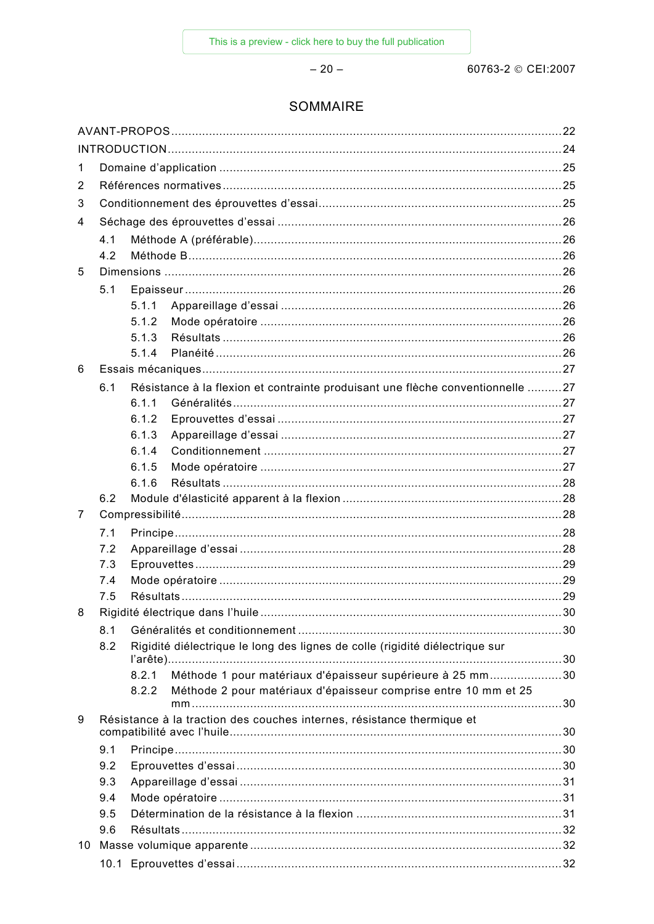60763-2 © CEI:2007

#### SOMMAIRE

 $-20-$ 

| 1  |     |                                                                                |  |
|----|-----|--------------------------------------------------------------------------------|--|
| 2  |     |                                                                                |  |
| 3  |     |                                                                                |  |
| 4  |     |                                                                                |  |
|    | 4.1 |                                                                                |  |
|    | 4.2 |                                                                                |  |
| 5  |     |                                                                                |  |
|    | 5.1 |                                                                                |  |
|    |     | 5.1.1                                                                          |  |
|    |     | 5.1.2                                                                          |  |
|    |     | 5.1.3                                                                          |  |
|    |     | 5.1.4                                                                          |  |
| 6  |     |                                                                                |  |
|    | 6.1 | Résistance à la flexion et contrainte produisant une flèche conventionnelle 27 |  |
|    |     | 6.1.1                                                                          |  |
|    |     | 6.1.2                                                                          |  |
|    |     | 6.1.3                                                                          |  |
|    |     | 6.1.4                                                                          |  |
|    |     | 6.1.5                                                                          |  |
|    |     | 6.1.6                                                                          |  |
|    | 6.2 |                                                                                |  |
| 7  |     |                                                                                |  |
|    | 7.1 |                                                                                |  |
|    | 7.2 |                                                                                |  |
|    | 7.3 |                                                                                |  |
|    | 7.4 |                                                                                |  |
|    | 7.5 |                                                                                |  |
| 8  |     |                                                                                |  |
|    | 8.1 |                                                                                |  |
|    | 8.2 | Rigidité diélectrique le long des lignes de colle (rigidité diélectrique sur   |  |
|    |     | Méthode 1 pour matériaux d'épaisseur supérieure à 25 mm30<br>8.2.1             |  |
|    |     | Méthode 2 pour matériaux d'épaisseur comprise entre 10 mm et 25<br>8.2.2<br>mm |  |
| 9  |     | Résistance à la traction des couches internes, résistance thermique et         |  |
|    | 9.1 |                                                                                |  |
|    | 9.2 |                                                                                |  |
|    | 9.3 |                                                                                |  |
|    | 9.4 |                                                                                |  |
|    | 9.5 |                                                                                |  |
|    | 9.6 |                                                                                |  |
| 10 |     |                                                                                |  |
|    |     |                                                                                |  |
|    |     |                                                                                |  |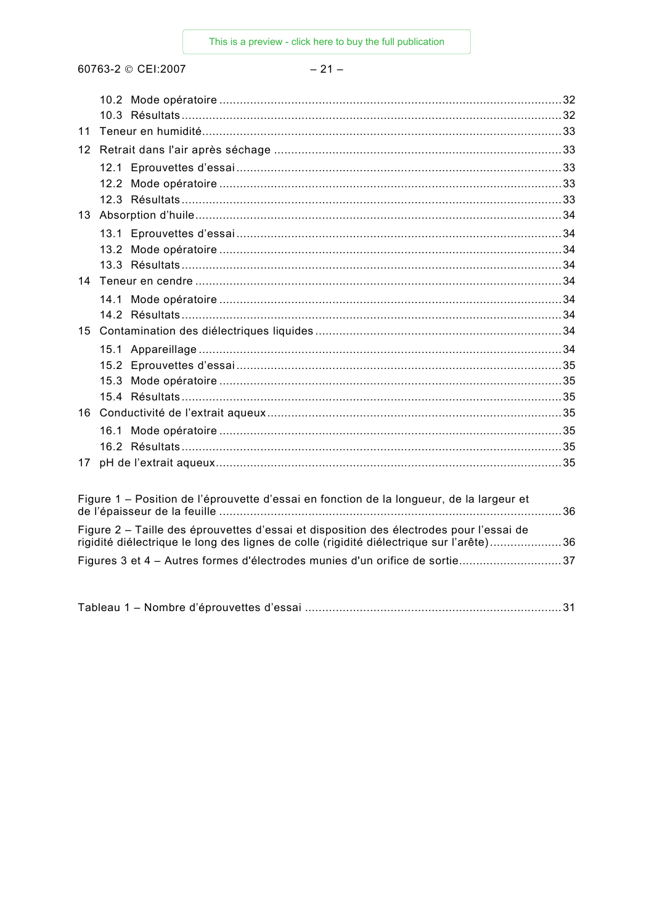#### $-21-$

| 11 |                                                                                          |  |
|----|------------------------------------------------------------------------------------------|--|
|    |                                                                                          |  |
|    |                                                                                          |  |
|    |                                                                                          |  |
|    |                                                                                          |  |
|    |                                                                                          |  |
|    |                                                                                          |  |
|    |                                                                                          |  |
|    |                                                                                          |  |
| 14 |                                                                                          |  |
|    |                                                                                          |  |
|    |                                                                                          |  |
|    |                                                                                          |  |
|    |                                                                                          |  |
|    |                                                                                          |  |
|    |                                                                                          |  |
|    |                                                                                          |  |
|    |                                                                                          |  |
|    |                                                                                          |  |
|    |                                                                                          |  |
| 17 |                                                                                          |  |
|    |                                                                                          |  |
|    | Figure 1 – Position de l'éprouvette d'essai en fonction de la longueur, de la largeur et |  |
|    |                                                                                          |  |

Figure 2 – Taille des éprouvettes d'essai et disposition des électrodes pour l'essai de<br>rigidité diélectrique le long des lignes de colle (rigidité diélectrique sur l'arête)....................36 Figures 3 et 4 - Autres formes d'électrodes munies d'un orifice de sortie..............................37

|--|--|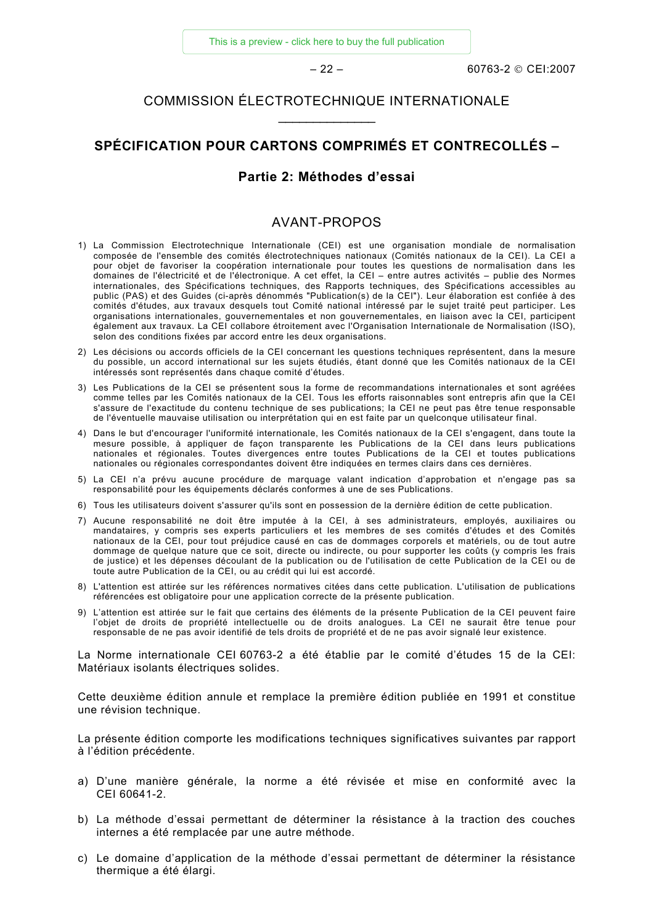#### <span id="page-9-0"></span>COMMISSION ÉLECTROTECHNIQUE INTERNATIONALE  $\frac{1}{2}$  ,  $\frac{1}{2}$  ,  $\frac{1}{2}$  ,  $\frac{1}{2}$  ,  $\frac{1}{2}$  ,  $\frac{1}{2}$  ,  $\frac{1}{2}$

#### **SPÉCIFICATION POUR CARTONS COMPRIMÉS ET CONTRECOLLÉS –**

#### **Partie 2: Méthodes d'essai**

#### AVANT-PROPOS

- 1) La Commission Electrotechnique Internationale (CEI) est une organisation mondiale de normalisation composée de l'ensemble des comités électrotechniques nationaux (Comités nationaux de la CEI). La CEI a pour objet de favoriser la coopération internationale pour toutes les questions de normalisation dans les domaines de l'électricité et de l'électronique. A cet effet, la CEI – entre autres activités – publie des Normes internationales, des Spécifications techniques, des Rapports techniques, des Spécifications accessibles au public (PAS) et des Guides (ci-après dénommés "Publication(s) de la CEI"). Leur élaboration est confiée à des comités d'études, aux travaux desquels tout Comité national intéressé par le sujet traité peut participer. Les organisations internationales, gouvernementales et non gouvernementales, en liaison avec la CEI, participent également aux travaux. La CEI collabore étroitement avec l'Organisation Internationale de Normalisation (ISO), selon des conditions fixées par accord entre les deux organisations.
- 2) Les décisions ou accords officiels de la CEI concernant les questions techniques représentent, dans la mesure du possible, un accord international sur les sujets étudiés, étant donné que les Comités nationaux de la CEI intéressés sont représentés dans chaque comité d'études.
- 3) Les Publications de la CEI se présentent sous la forme de recommandations internationales et sont agréées comme telles par les Comités nationaux de la CEI. Tous les efforts raisonnables sont entrepris afin que la CEI s'assure de l'exactitude du contenu technique de ses publications; la CEI ne peut pas être tenue responsable de l'éventuelle mauvaise utilisation ou interprétation qui en est faite par un quelconque utilisateur final.
- 4) Dans le but d'encourager l'uniformité internationale, les Comités nationaux de la CEI s'engagent, dans toute la mesure possible, à appliquer de façon transparente les Publications de la CEI dans leurs publications nationales et régionales. Toutes divergences entre toutes Publications de la CEI et toutes publications nationales ou régionales correspondantes doivent être indiquées en termes clairs dans ces dernières.
- 5) La CEI n'a prévu aucune procédure de marquage valant indication d'approbation et n'engage pas sa responsabilité pour les équipements déclarés conformes à une de ses Publications.
- 6) Tous les utilisateurs doivent s'assurer qu'ils sont en possession de la dernière édition de cette publication.
- 7) Aucune responsabilité ne doit être imputée à la CEI, à ses administrateurs, employés, auxiliaires ou mandataires, y compris ses experts particuliers et les membres de ses comités d'études et des Comités nationaux de la CEI, pour tout préjudice causé en cas de dommages corporels et matériels, ou de tout autre dommage de quelque nature que ce soit, directe ou indirecte, ou pour supporter les coûts (y compris les frais de justice) et les dépenses découlant de la publication ou de l'utilisation de cette Publication de la CEI ou de toute autre Publication de la CEI, ou au crédit qui lui est accordé.
- 8) L'attention est attirée sur les références normatives citées dans cette publication. L'utilisation de publications référencées est obligatoire pour une application correcte de la présente publication.
- 9) L'attention est attirée sur le fait que certains des éléments de la présente Publication de la CEI peuvent faire l'objet de droits de propriété intellectuelle ou de droits analogues. La CEI ne saurait être tenue pour responsable de ne pas avoir identifié de tels droits de propriété et de ne pas avoir signalé leur existence.

La Norme internationale CEI 60763-2 a été établie par le comité d'études 15 de la CEI: Matériaux isolants électriques solides.

Cette deuxième édition annule et remplace la première édition publiée en 1991 et constitue une révision technique.

La présente édition comporte les modifications techniques significatives suivantes par rapport à l'édition précédente.

- a) D'une manière générale, la norme a été révisée et mise en conformité avec la CEI 60641-2.
- b) La méthode d'essai permettant de déterminer la résistance à la traction des couches internes a été remplacée par une autre méthode.
- c) Le domaine d'application de la méthode d'essai permettant de déterminer la résistance thermique a été élargi.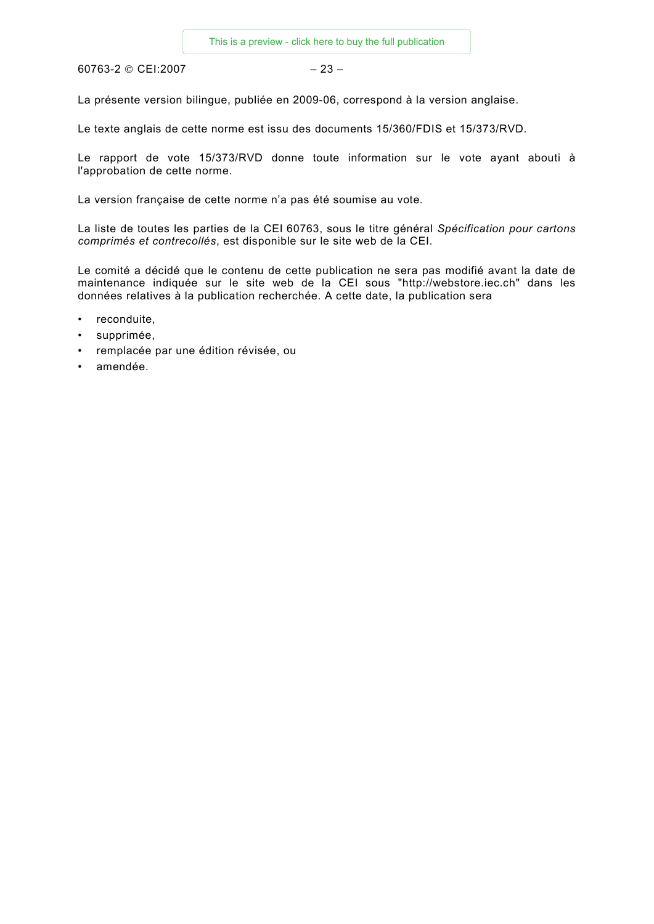$60763 - 2007$  – 23 –

La présente version bilingue, publiée en 2009-06, correspond à la version anglaise.

Le texte anglais de cette norme est issu des documents 15/360/FDIS et 15/373/RVD.

Le rapport de vote 15/373/RVD donne toute information sur le vote ayant abouti à l'approbation de cette norme.

La version française de cette norme n'a pas été soumise au vote.

La liste de toutes les parties de la CEI 60763, sous le titre général *Spécification pour cartons comprimés et contrecollés*, est disponible sur le site web de la CEI.

Le comité a décidé que le contenu de cette publication ne sera pas modifié avant la date de maintenance indiquée sur le site web de la CEI sous "http://webstore.iec.ch" dans les données relatives à la publication recherchée. A cette date, la publication sera

- reconduite,
- supprimée,
- remplacée par une édition révisée, ou
- amendée.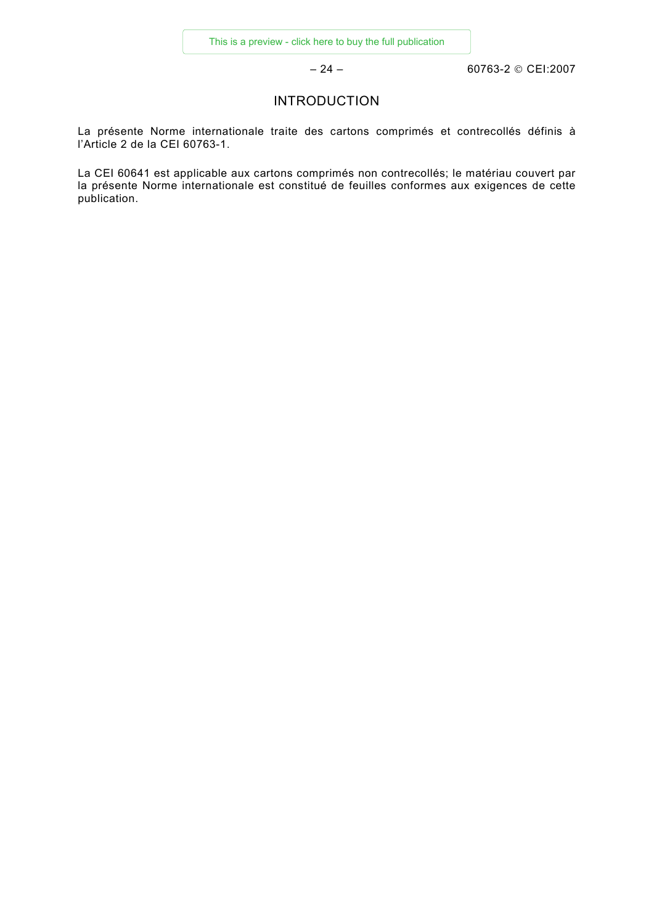– 24 – 60763-2 © CEI:2007

#### INTRODUCTION

<span id="page-11-0"></span>La présente Norme internationale traite des cartons comprimés et contrecollés définis à l'Article 2 de la CEI 60763-1.

La CEI 60641 est applicable aux cartons comprimés non contrecollés; le matériau couvert par la présente Norme internationale est constitué de feuilles conformes aux exigences de cette publication.